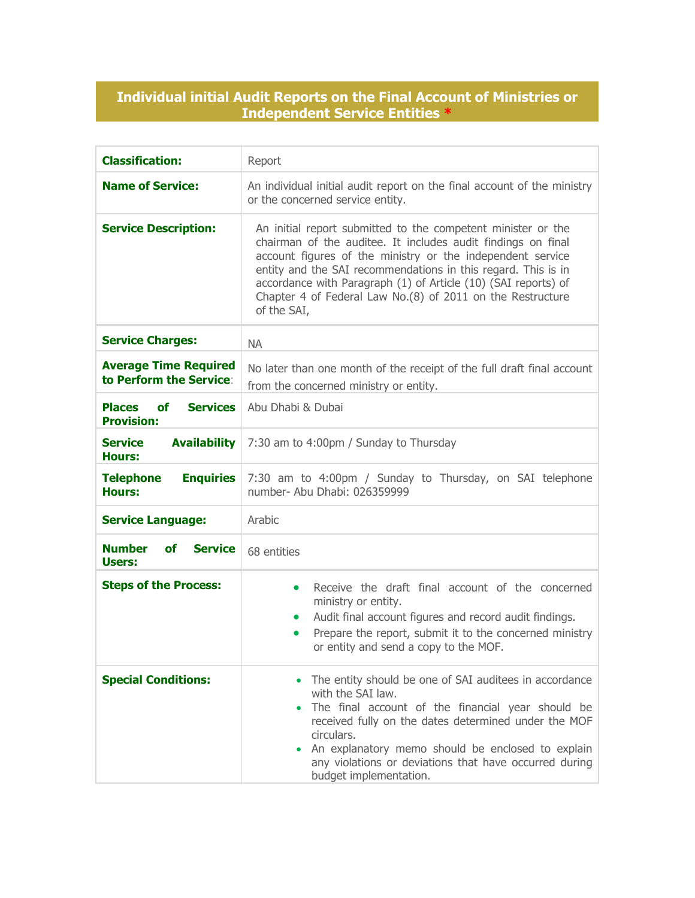## **Individual initial Audit Reports on the Final Account of Ministries or Independent Service Entities \***

| <b>Classification:</b>                                             | Report                                                                                                                                                                                                                                                                                                                                                                                                     |
|--------------------------------------------------------------------|------------------------------------------------------------------------------------------------------------------------------------------------------------------------------------------------------------------------------------------------------------------------------------------------------------------------------------------------------------------------------------------------------------|
| <b>Name of Service:</b>                                            | An individual initial audit report on the final account of the ministry<br>or the concerned service entity.                                                                                                                                                                                                                                                                                                |
| <b>Service Description:</b>                                        | An initial report submitted to the competent minister or the<br>chairman of the auditee. It includes audit findings on final<br>account figures of the ministry or the independent service<br>entity and the SAI recommendations in this regard. This is in<br>accordance with Paragraph (1) of Article (10) (SAI reports) of<br>Chapter 4 of Federal Law No.(8) of 2011 on the Restructure<br>of the SAI, |
| <b>Service Charges:</b>                                            | <b>NA</b>                                                                                                                                                                                                                                                                                                                                                                                                  |
| <b>Average Time Required</b><br>to Perform the Service:            | No later than one month of the receipt of the full draft final account<br>from the concerned ministry or entity.                                                                                                                                                                                                                                                                                           |
| <b>Places</b><br><b>of</b><br><b>Services</b><br><b>Provision:</b> | Abu Dhabi & Dubai                                                                                                                                                                                                                                                                                                                                                                                          |
| <b>Service</b><br><b>Availability</b><br><b>Hours:</b>             | 7:30 am to 4:00pm / Sunday to Thursday                                                                                                                                                                                                                                                                                                                                                                     |
| <b>Enquiries</b><br><b>Telephone</b><br><b>Hours:</b>              | 7:30 am to 4:00pm / Sunday to Thursday, on SAI telephone<br>number- Abu Dhabi: 026359999                                                                                                                                                                                                                                                                                                                   |
| <b>Service Language:</b>                                           | Arabic                                                                                                                                                                                                                                                                                                                                                                                                     |
| <b>Number</b><br><b>of</b><br><b>Service</b><br>Users:             | 68 entities                                                                                                                                                                                                                                                                                                                                                                                                |
| <b>Steps of the Process:</b>                                       | Receive the draft final account of the concerned<br>$\bullet$<br>ministry or entity.<br>Audit final account figures and record audit findings.<br>$\bullet$<br>Prepare the report, submit it to the concerned ministry<br>$\bullet$<br>or entity and send a copy to the MOF.                                                                                                                               |
| <b>Special Conditions:</b>                                         | The entity should be one of SAI auditees in accordance<br>with the SAI law.<br>The final account of the financial year should be<br>received fully on the dates determined under the MOF<br>circulars.<br>An explanatory memo should be enclosed to explain<br>any violations or deviations that have occurred during<br>budget implementation.                                                            |